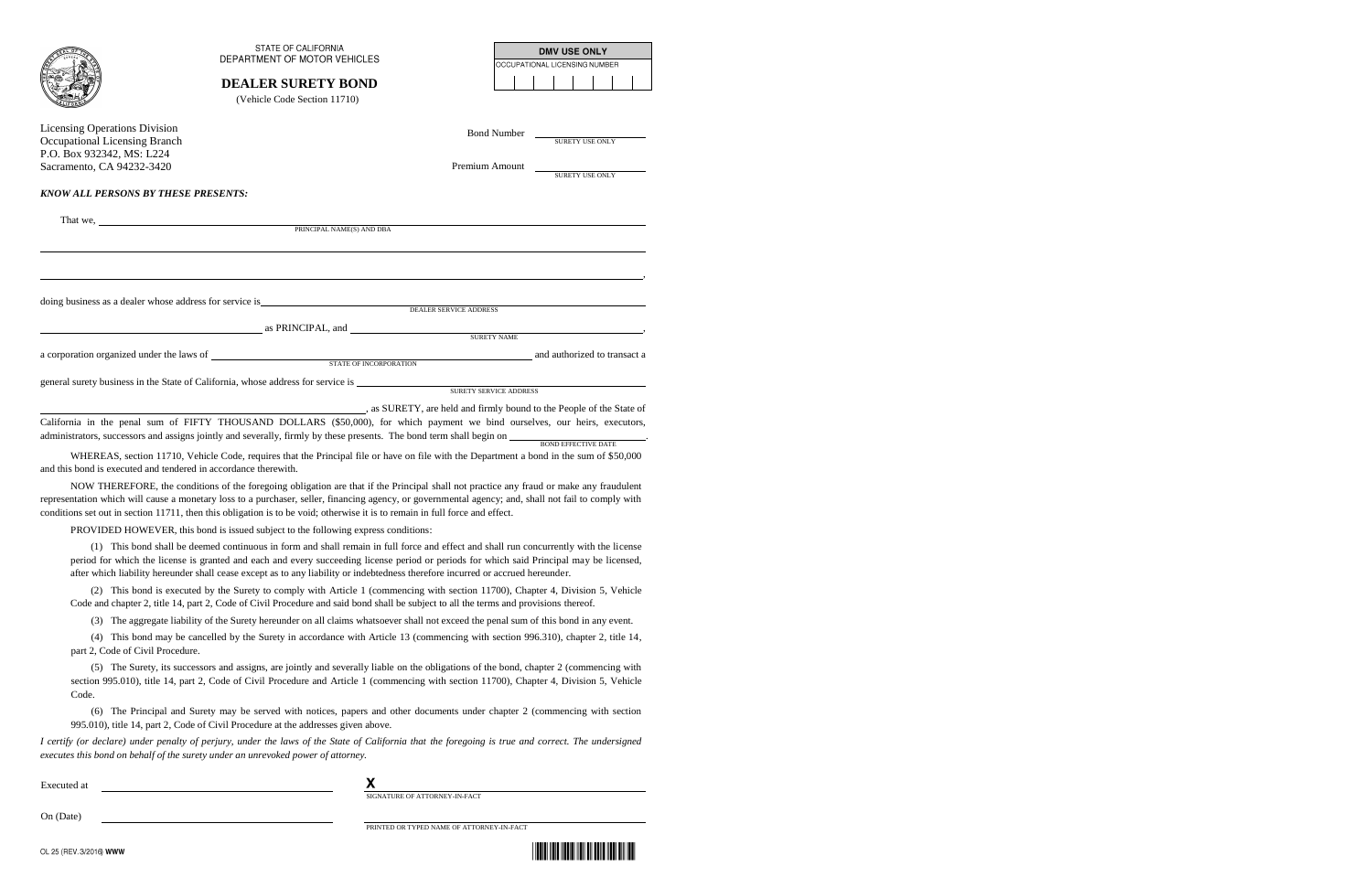|                                                                                                                                 | <b>STATE OF CALIFORNIA</b><br>DEPARTMENT OF MOTOR VEHICLES                                                                                                                                         |                                      |  | OCCUPATIONAL LICENSING NUMBER | <b>DMV USE ONLY</b> |  |  |
|---------------------------------------------------------------------------------------------------------------------------------|----------------------------------------------------------------------------------------------------------------------------------------------------------------------------------------------------|--------------------------------------|--|-------------------------------|---------------------|--|--|
|                                                                                                                                 | <b>DEALER SURETY BOND</b><br>(Vehicle Code Section 11710)                                                                                                                                          |                                      |  |                               |                     |  |  |
| <b>Licensing Operations Division</b><br>Occupational Licensing Branch<br>P.O. Box 932342, MS: L224<br>Sacramento, CA 94232-3420 |                                                                                                                                                                                                    | <b>Bond Number</b><br>Premium Amount |  |                               | SURETY USE ONLY     |  |  |
| <b>KNOW ALL PERSONS BY THESE PRESENTS:</b>                                                                                      |                                                                                                                                                                                                    |                                      |  |                               | SURETY USE ONLY     |  |  |
|                                                                                                                                 | $\label{eq:RINCIPAL} \text{PRINCIPAL NAME(S) AND DBA}$                                                                                                                                             |                                      |  |                               |                     |  |  |
|                                                                                                                                 |                                                                                                                                                                                                    |                                      |  |                               |                     |  |  |
|                                                                                                                                 | as PRINCIPAL, and SURETY NAME                                                                                                                                                                      |                                      |  |                               |                     |  |  |
|                                                                                                                                 | a corporation organized under the laws of<br>STATE OF INCORPORATION and authorized to transact a                                                                                                   |                                      |  |                               |                     |  |  |
|                                                                                                                                 | general surety business in the State of California, whose address for service is SURETY SERVICE ADDRESS                                                                                            |                                      |  |                               |                     |  |  |
|                                                                                                                                 | as SURETY, are held and firmly bound to the People of the State of<br>California in the penal sum of FIFTY THOUSAND DOLLARS (\$50,000), for which payment we bind ourselves, our heirs, executors, |                                      |  |                               |                     |  |  |
| and this bond is executed and tendered in accordance therewith.                                                                 | WHEREAS, section 11710, Vehicle Code, requires that the Principal file or have on file with the Department a bond in the sum of \$50,000                                                           |                                      |  |                               |                     |  |  |

 NOW THEREFORE, the conditions of the foregoing obligation are that if the Principal shall not practice any fraud or make any fraudulent representation which will cause a monetary loss to a purchaser, seller, financing agency, or governmental agency; and, shall not fail to comply with conditions set out in section 11711, then this obligation is to be void; otherwise it is to remain in full force and effect.

PROVIDED HOWEVER, this bond is issued subject to the following express conditions:

(1) This bond shall be deemed continuous in form and shall remain in full force and effect and shall run concurrently with the license period for which the license is granted and each and every succeeding license period or periods for which said Principal may be licensed, after which liability hereunder shall cease except as to any liability or indebtedness therefore incurred or accrued hereunder.

(2) This bond is executed by the Surety to comply with Article 1 (commencing with section 11700), Chapter 4, Division 5, Vehicle Code and chapter 2, title 14, part 2, Code of Civil Procedure and said bond shall be subject to all the terms and provisions thereof.

(3) The aggregate liability of the Surety hereunder on all claims whatsoever shall not exceed the penal sum of this bond in any event.

(4) This bond may be cancelled by the Surety in accordance with Article 13 (commencing with section 996.310), chapter 2, title 14, part 2, Code of Civil Procedure.

(5) The Surety, its successors and assigns, are jointly and severally liable on the obligations of the bond, chapter 2 (commencing with section 995.010), title 14, part 2, Code of Civil Procedure and Article 1 (commencing with section 11700), Chapter 4, Division 5, Vehicle Code.

(6) The Principal and Surety may be served with notices, papers and other documents under chapter 2 (commencing with section 995.010), title 14, part 2, Code of Civil Procedure at the addresses given above.

*I certify (or declare) under penalty of perjury, under the laws of the State of California that the foregoing is true and correct. The undersigned executes this bond on behalf of the surety under an unrevoked power of attorney.* 

Executed at

On (Date)

X

SIGNATURE OF ATTORNEY-IN-FACT

PRINTED OR TYPED NAME OF ATTORNEY-IN-FACT